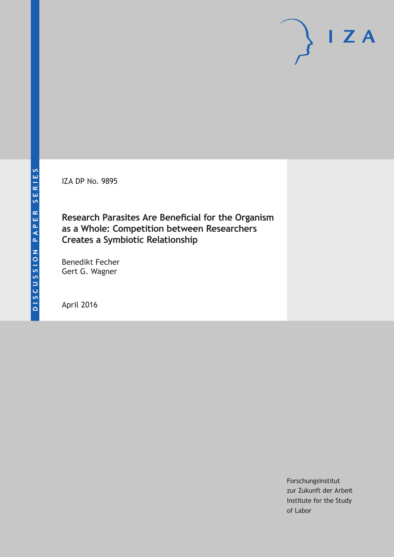IZA DP No. 9895

# **Research Parasites Are Beneficial for the Organism as a Whole: Competition between Researchers Creates a Symbiotic Relationship**

Benedikt Fecher Gert G. Wagner

April 2016

Forschungsinstitut zur Zukunft der Arbeit Institute for the Study of Labor

 $I Z A$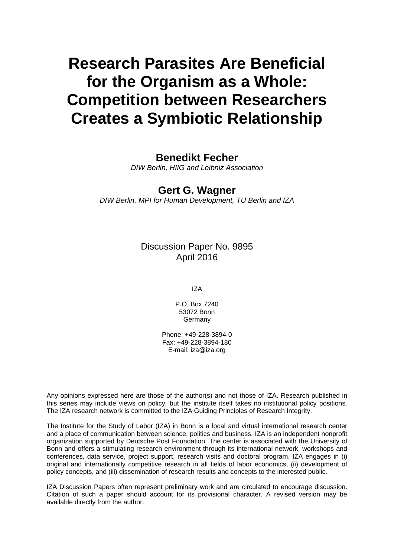# **Research Parasites Are Beneficial for the Organism as a Whole: Competition between Researchers Creates a Symbiotic Relationship**

### **Benedikt Fecher**

*DIW Berlin, HIIG and Leibniz Association* 

#### **Gert G. Wagner**

*DIW Berlin, MPI for Human Development, TU Berlin and IZA* 

Discussion Paper No. 9895 April 2016

IZA

P.O. Box 7240 53072 Bonn **Germany** 

Phone: +49-228-3894-0 Fax: +49-228-3894-180 E-mail: iza@iza.org

Any opinions expressed here are those of the author(s) and not those of IZA. Research published in this series may include views on policy, but the institute itself takes no institutional policy positions. The IZA research network is committed to the IZA Guiding Principles of Research Integrity.

The Institute for the Study of Labor (IZA) in Bonn is a local and virtual international research center and a place of communication between science, politics and business. IZA is an independent nonprofit organization supported by Deutsche Post Foundation. The center is associated with the University of Bonn and offers a stimulating research environment through its international network, workshops and conferences, data service, project support, research visits and doctoral program. IZA engages in (i) original and internationally competitive research in all fields of labor economics, (ii) development of policy concepts, and (iii) dissemination of research results and concepts to the interested public.

IZA Discussion Papers often represent preliminary work and are circulated to encourage discussion. Citation of such a paper should account for its provisional character. A revised version may be available directly from the author.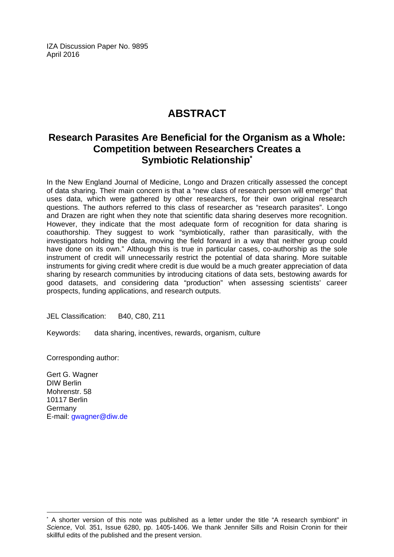IZA Discussion Paper No. 9895 April 2016

# **ABSTRACT**

## **Research Parasites Are Beneficial for the Organism as a Whole: Competition between Researchers Creates a Symbiotic Relationship\***

In the New England Journal of Medicine, Longo and Drazen critically assessed the concept of data sharing. Their main concern is that a "new class of research person will emerge" that uses data, which were gathered by other researchers, for their own original research questions. The authors referred to this class of researcher as "research parasites". Longo and Drazen are right when they note that scientific data sharing deserves more recognition. However, they indicate that the most adequate form of recognition for data sharing is coauthorship. They suggest to work "symbiotically, rather than parasitically, with the investigators holding the data, moving the field forward in a way that neither group could have done on its own." Although this is true in particular cases, co-authorship as the sole instrument of credit will unnecessarily restrict the potential of data sharing. More suitable instruments for giving credit where credit is due would be a much greater appreciation of data sharing by research communities by introducing citations of data sets, bestowing awards for good datasets, and considering data "production" when assessing scientists' career prospects, funding applications, and research outputs.

JEL Classification: B40, C80, Z11

Keywords: data sharing, incentives, rewards, organism, culture

Corresponding author:

Gert G. Wagner DIW Berlin Mohrenstr. 58 10117 Berlin Germany E-mail: gwagner@diw.de

 $\overline{a}$ 

<sup>\*</sup> A shorter version of this note was published as a letter under the title "A research symbiont" in *Science*, Vol. 351, Issue 6280, pp. 1405-1406. We thank Jennifer Sills and Roisin Cronin for their skillful edits of the published and the present version.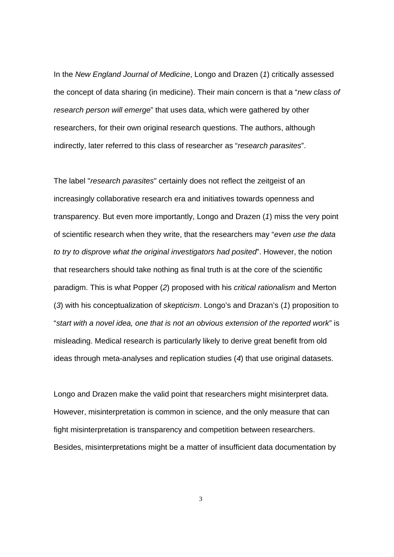In the *New England Journal of Medicine*, Longo and Drazen (*1*) critically assessed the concept of data sharing (in medicine). Their main concern is that a "*new class of research person will emerge*" that uses data, which were gathered by other researchers, for their own original research questions. The authors, although indirectly, later referred to this class of researcher as "*research parasites*".

The label "*research parasites*" certainly does not reflect the zeitgeist of an increasingly collaborative research era and initiatives towards openness and transparency. But even more importantly, Longo and Drazen (*1*) miss the very point of scientific research when they write, that the researchers may "*even use the data to try to disprove what the original investigators had posited*". However, the notion that researchers should take nothing as final truth is at the core of the scientific paradigm. This is what Popper (*2*) proposed with his *critical rationalism* and Merton (*3*) with his conceptualization of *skepticism*. Longo's and Drazan's (*1*) proposition to "*start with a novel idea, one that is not an obvious extension of the reported work*" is misleading. Medical research is particularly likely to derive great benefit from old ideas through meta-analyses and replication studies (*4*) that use original datasets.

Longo and Drazen make the valid point that researchers might misinterpret data. However, misinterpretation is common in science, and the only measure that can fight misinterpretation is transparency and competition between researchers. Besides, misinterpretations might be a matter of insufficient data documentation by

3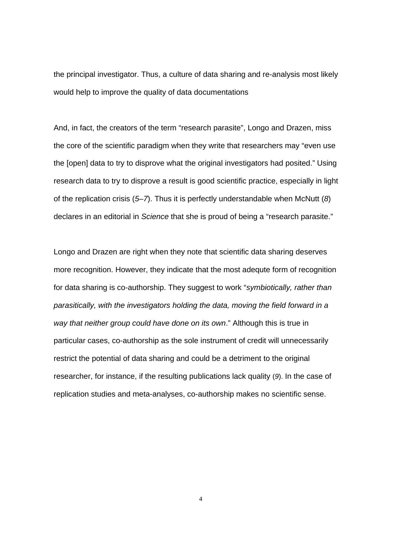the principal investigator. Thus, a culture of data sharing and re-analysis most likely would help to improve the quality of data documentations

And, in fact, the creators of the term "research parasite", Longo and Drazen, miss the core of the scientific paradigm when they write that researchers may "even use the [open] data to try to disprove what the original investigators had posited." Using research data to try to disprove a result is good scientific practice, especially in light of the replication crisis (*5*–*7*). Thus it is perfectly understandable when McNutt (*8*) declares in an editorial in *Science* that she is proud of being a "research parasite."

Longo and Drazen are right when they note that scientific data sharing deserves more recognition. However, they indicate that the most adequte form of recognition for data sharing is co-authorship. They suggest to work "*symbiotically, rather than parasitically, with the investigators holding the data, moving the field forward in a way that neither group could have done on its own*." Although this is true in particular cases, co-authorship as the sole instrument of credit will unnecessarily restrict the potential of data sharing and could be a detriment to the original researcher, for instance, if the resulting publications lack quality (*9*). In the case of replication studies and meta-analyses, co-authorship makes no scientific sense.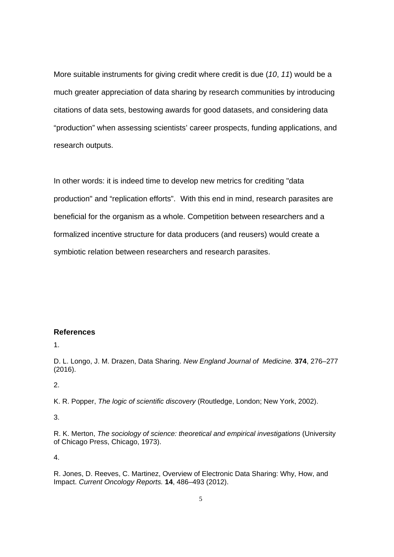More suitable instruments for giving credit where credit is due (*10*, *11*) would be a much greater appreciation of data sharing by research communities by introducing citations of data sets, bestowing awards for good datasets, and considering data "production" when assessing scientists' career prospects, funding applications, and research outputs.

In other words: it is indeed time to develop new metrics for crediting "data production" and "replication efforts". With this end in mind, research parasites are beneficial for the organism as a whole. Competition between researchers and a formalized incentive structure for data producers (and reusers) would create a symbiotic relation between researchers and research parasites.

#### **References**

1.

D. L. Longo, J. M. Drazen, Data Sharing. *New England Journal of Medicine.* **374**, 276–277 (2016).

2.

K. R. Popper, *The logic of scientific discovery* (Routledge, London; New York, 2002).

3.

R. K. Merton, *The sociology of science: theoretical and empirical investigations* (University of Chicago Press, Chicago, 1973).

4.

R. Jones, D. Reeves, C. Martinez, Overview of Electronic Data Sharing: Why, How, and Impact. *Current Oncology Reports.* **14**, 486–493 (2012).